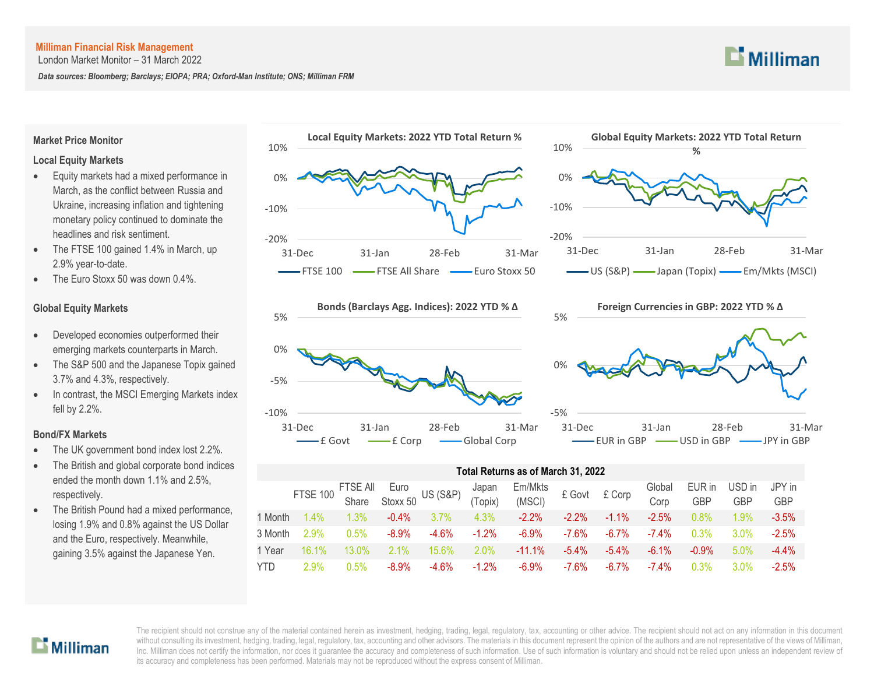London Market Monitor – 31 March 2022

*Data sources: Bloomberg; Barclays; EIOPA; PRA; Oxford-Man Institute; ONS; Milliman FRM*



# **Market Price Monitor**

## **Local Equity Markets**

- Equity markets had a mixed performance in March, as the conflict between Russia and Ukraine, increasing inflation and tightening monetary policy continued to dominate the headlines and risk sentiment.
- The FTSE 100 gained 1.4% in March, up 2.9% year-to-date.
- The Euro Stoxx 50 was down 0.4%.

# **Global Equity Markets**

- Developed economies outperformed their emerging markets counterparts in March.
- The S&P 500 and the Japanese Topix gained 3.7% and 4.3%, respectively.
- In contrast, the MSCI Emerging Markets index fell by 2.2%.

### **Bond/FX Markets**

- The UK government bond index lost 2.2%.
- The British and global corporate bond indices ended the month down 1.1% and 2.5%, respectively.
- The British Pound had a mixed performance, losing 1.9% and 0.8% against the US Dollar and the Euro, respectively. Meanwhile, gaining 3.5% against the Japanese Yen.









| Total Returns as of March 31, 2022 |                 |                     |                  |                     |                  |                   |          |          |                |               |                      |               |  |
|------------------------------------|-----------------|---------------------|------------------|---------------------|------------------|-------------------|----------|----------|----------------|---------------|----------------------|---------------|--|
|                                    | <b>FTSE 100</b> | FTSE All<br>Share S | Euro<br>Stoxx 50 | <b>US (S&amp;P)</b> | Japan<br>(Topix) | Em/Mkts<br>(MSCI) | £ Govt   | £ Corp   | Global<br>Corp | EUR in<br>GBP | USD in<br><b>GBP</b> | JPY in<br>GBP |  |
| 1 Month                            | 1.4%            | 1.3%                | $-0.4%$          | 3.7%                | 4.3%             | $-2.2%$           | $-2.2\%$ | $-1.1\%$ | $-2.5%$        | 0.8%          | 1.9%                 | $-3.5%$       |  |
| 3 Month                            | 2.9%            | 0.5%                | $-8.9\%$         | $-4.6%$             | $-1.2\%$         | $-6.9%$           | $-7.6%$  | $-6.7%$  | $-7.4\%$       | 0.3%          | $3.0\%$              | $-2.5%$       |  |
| 1 Year                             | 16.1%           | 13.0%               | 2.1%             | 15.6%               | 2.0%             | $-11.1\%$         | $-5.4\%$ | $-5.4\%$ | $-6.1\%$       | $-0.9%$       | 5.0%                 | $-4.4%$       |  |
| <b>YTD</b>                         | $2.9\%$         | $0.5\%$             | $-8.9\%$         | $-4.6%$             | $-1.2%$          | $-6.9\%$          | $-7.6\%$ | $-6.7\%$ | $-7.4\%$       | 0.3%          | 3.0%                 | $-2.5%$       |  |

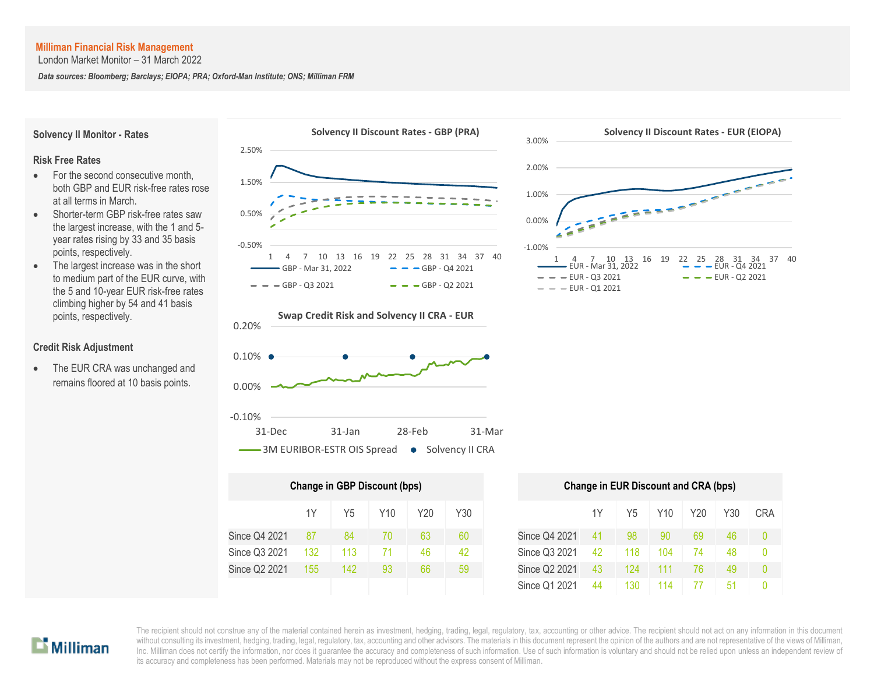London Market Monitor – 31 March 2022

*Data sources: Bloomberg; Barclays; EIOPA; PRA; Oxford-Man Institute; ONS; Milliman FRM*

**Solvency II Monitor - Rates**

#### **Risk Free Rates**

- For the second consecutive month, both GBP and EUR risk-free rates rose at all terms in March.
- Shorter-term GBP risk-free rates saw the largest increase, with the 1 and 5 year rates rising by 33 and 35 basis points, respectively.
- The largest increase was in the short to medium part of the EUR curve, with the 5 and 10-year EUR risk-free rates climbing higher by 54 and 41 basis points, respectively.

### **Credit Risk Adjustment**

• The EUR CRA was unchanged and remains floored at 10 basis points.







| Change in GBP Discount (bps) |     |     | <b>Change in EUR Discount and CRA (bps)</b> |     |     |               |    |     |                 |     |  |
|------------------------------|-----|-----|---------------------------------------------|-----|-----|---------------|----|-----|-----------------|-----|--|
|                              | 1Υ  | Y5  | Y10                                         | Y20 | Y30 |               | 1Y | Y5  | Y <sub>10</sub> | Y20 |  |
| Since Q4 2021                | 87  | 84  | 70                                          | 63  | 60  | Since Q4 2021 | 41 | 98  | 90              | 69  |  |
| Since Q3 2021                | 132 | 113 | 71                                          | 46  | 42  | Since Q3 2021 | 42 | 118 | 104             | 74  |  |
| Since Q2 2021                | 155 | 142 | 93                                          | 66  | 59  | Since Q2 2021 | 43 | 124 | 111             | 76  |  |
|                              |     |     |                                             |     |     | Since Q1 2021 | 44 | 130 | 114             |     |  |



| Change in GBP Discount (bps) |     |     |     |     |               | <b>Change in EUR Discount and CRA (bps)</b> |     |                 |     |     |            |  |  |  |
|------------------------------|-----|-----|-----|-----|---------------|---------------------------------------------|-----|-----------------|-----|-----|------------|--|--|--|
| 1Y                           | Y5  | Y10 | Y20 | Y30 |               | 1Y                                          | Y5  | Y <sub>10</sub> | Y20 | Y30 | <b>CRA</b> |  |  |  |
| 87                           | 84  | 70  | 63  | 60  | Since Q4 2021 | 41                                          | 98  | 90              | 69  | 46  |            |  |  |  |
| 132                          | 113 | 71  | 46  | 42  | Since Q3 2021 | 42                                          | 118 | 104             | 74  | 48  |            |  |  |  |
| 155                          | 142 | 93  | 66  | 59  | Since Q2 2021 | 43                                          | 124 | 111             | 76  | 49  |            |  |  |  |
|                              |     |     |     |     | Since Q1 2021 | 44                                          | 130 | 114             | 77  | 51  |            |  |  |  |

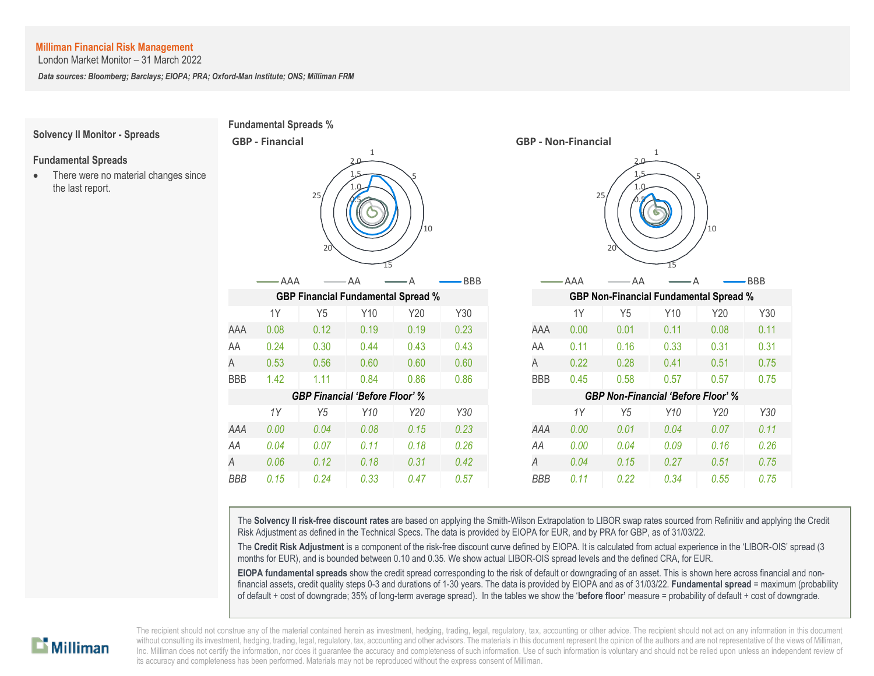London Market Monitor – 31 March 2022

*Data sources: Bloomberg; Barclays; EIOPA; PRA; Oxford-Man Institute; ONS; Milliman FRM*

#### **Fundamental Spreads %** -  $\sqrt{5}$  1.0 1.5 2.0 1 5 10 15 20 25 **GBP - Financial** AAA — AA — A — BBB **Solvency II Monitor - Spreads Fundamental Spreads** • There were no material changes since the last report. l I 0.08  $0.24$ 0.53

 $1.42$ 

 $1Y$  $\overline{a}$ .



The **Solvency II risk-free discount rates** are based on applying the Smith-Wilson Extrapolation to LIBOR swap rates sourced from Refinitiv and applying the Credit Risk Adjustment as defined in the Technical Specs. The data is provided by EIOPA for EUR, and by PRA for GBP, as of 31/03/22.

The **Credit Risk Adjustment** is a component of the risk-free discount curve defined by EIOPA. It is calculated from actual experience in the 'LIBOR-OIS' spread (3 months for EUR), and is bounded between 0.10 and 0.35. We show actual LIBOR-OIS spread levels and the defined CRA, for EUR.

**EIOPA fundamental spreads** show the credit spread corresponding to the risk of default or downgrading of an asset. This is shown here across financial and nonfinancial assets, credit quality steps 0-3 and durations of 1-30 years. The data is provided by EIOPA and as of 31/03/22. **Fundamental spread** = maximum (probability of default + cost of downgrade; 35% of long-term average spread). In the tables we show the '**before floor'** measure = probability of default + cost of downgrade.

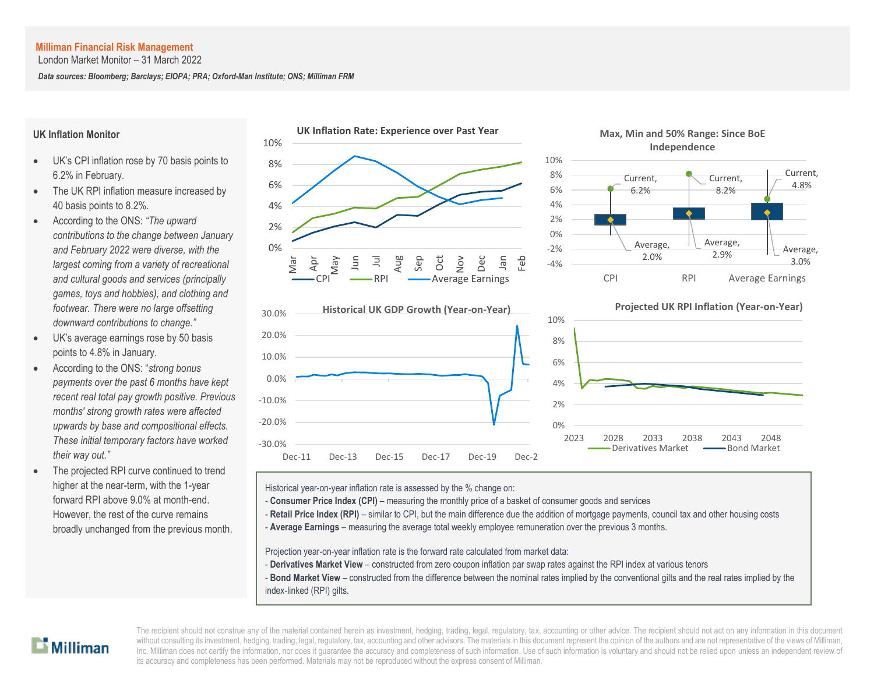London Market Monitor – 31 March 2022

*Data sources: Bloomberg; Barclays; EIOPA; PRA; Oxford-Man Institute; ONS; Milliman FRM*

## **UK Inflation Monitor**

- UK's CPI inflation rose by 70 basis points to 6.2% in February.
- The UK RPI inflation measure increased by 40 basis points to 8.2%.
- According to the ONS: *"The upward contributions to the change between January and February 2022 were diverse, with the largest coming from a variety of recreational and cultural goods and services (principally games, toys and hobbies), and clothing and footwear. There were no large offsetting downward contributions to change."*
- UK's average earnings rose by 50 basis points to 4.8% in January.
- According to the ONS: "*strong bonus payments over the past 6 months have kept recent real total pay growth positive. Previous months' strong growth rates were affected upwards by base and compositional effects. These initial temporary factors have worked their way out."*
- The projected RPI curve continued to trend higher at the near-term, with the 1-year forward RPI above 9.0% at month-end. However, the rest of the curve remains broadly unchanged from the previous month.







Historical year-on-year inflation rate is assessed by the % change on:

- **Consumer Price Index (CPI)** measuring the monthly price of a basket of consumer goods and services
- Retail Price Index (RPI) similar to CPI, but the main difference due the addition of mortgage payments, council tax and other housing costs
- A **Average Earnings** measuring the average total weekly employee remuneration over the previous 3 months.

Projection year-on-year inflation rate is the forward rate calculated from market data:

- **Derivatives Market View** constructed from zero coupon inflation par swap rates against the RPI index at various tenors
- **Bond Market View** constructed from the difference between the nominal rates implied by the conventional gilts and the real rates implied by the index-linked (RPI) gilts.

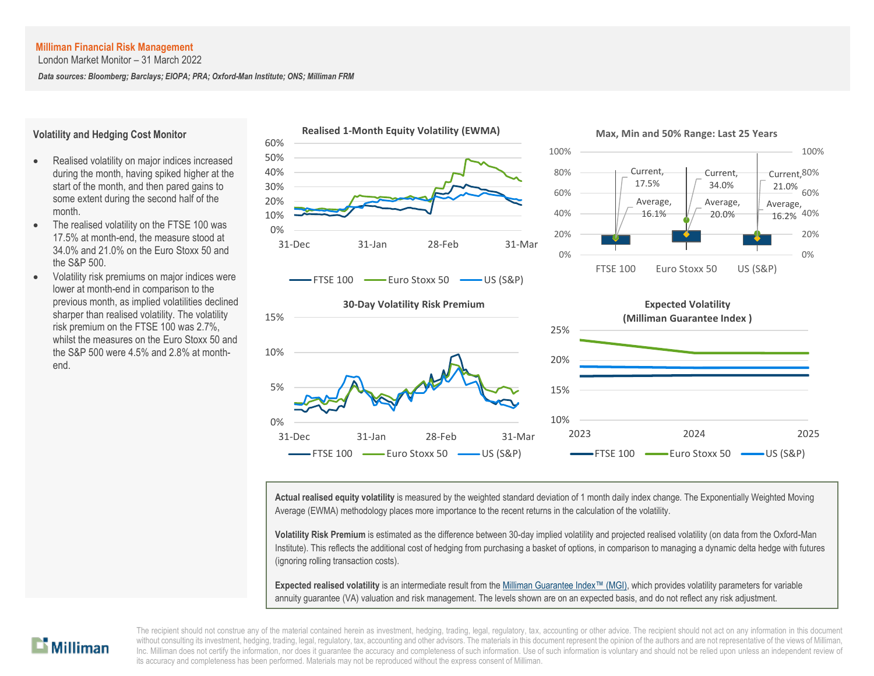London Market Monitor – 31 March 2022

*Data sources: Bloomberg; Barclays; EIOPA; PRA; Oxford-Man Institute; ONS; Milliman FRM*

#### **Volatility and Hedging Cost Monitor**

- Realised volatility on major indices increased during the month, having spiked higher at the start of the month, and then pared gains to some extent during the second half of the month.
- The realised volatility on the FTSE 100 was 17.5% at month-end, the measure stood at 34.0% and 21.0% on the Euro Stoxx 50 and the S&P 500.
- Volatility risk premiums on major indices were lower at month-end in comparison to the previous month, as implied volatilities declined sharper than realised volatility. The volatility risk premium on the FTSE 100 was 2.7%, whilst the measures on the Euro Stoxx 50 and the S&P 500 were 4.5% and 2.8% at monthend.









**Actual realised equity volatility** is measured by the weighted standard deviation of 1 month daily index change. The Exponentially Weighted Moving Average (EWMA) methodology places more importance to the recent returns in the calculation of the volatility.

**Volatility Risk Premium** is estimated as the difference between 30-day implied volatility and projected realised volatility (on data from the Oxford-Man Institute). This reflects the additional cost of hedging from purchasing a basket of options, in comparison to managing a dynamic delta hedge with futures (ignoring rolling transaction costs).

**Expected realised volatility** is an intermediate result from th[e Milliman Guarantee Index](http://uk.milliman.com/Solutions/Products/The-Milliman-Guarantee-Index-and-Milliman-Hedge-Cost-Index/)™ (MGI), which provides volatility parameters for variable annuity guarantee (VA) valuation and risk management. The levels shown are on an expected basis, and do not reflect any risk adjustment.